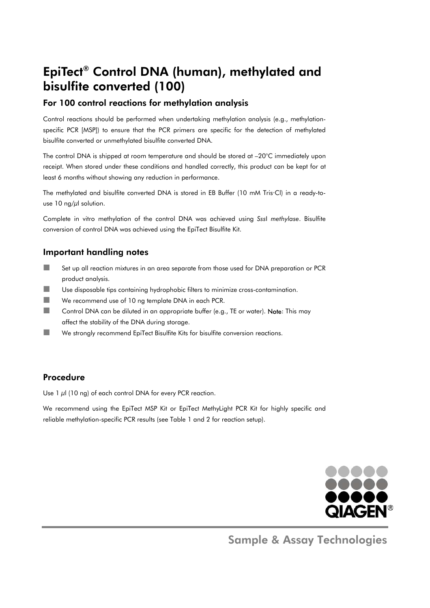## EpiTect® Control DNA (human), methylated and bisulfite converted (100)

## For 100 control reactions for methylation analysis

Control reactions should be performed when undertaking methylation analysis (e.g., methylationspecific PCR [MSP]) to ensure that the PCR primers are specific for the detection of methylated bisulfite converted or unmethylated bisulfite converted DNA.

The control DNA is shipped at room temperature and should be stored at –20°C immediately upon receipt. When stored under these conditions and handled correctly, this product can be kept for at least 6 months without showing any reduction in performance.

The methylated and bisulfite converted DNA is stored in EB Buffer (10 mM Tris·Cl) in a ready-touse 10 ng/ $\mu$ l solution.

Complete in vitro methylation of the control DNA was achieved using *Sss*I *methylase*. Bisulfite conversion of control DNA was achieved using the EpiTect Bisulfite Kit.

## Important handling notes

- Set up all reaction mixtures in an area separate from those used for DNA preparation or PCR product analysis.
- $\blacksquare$  Use disposable tips containing hydrophobic filters to minimize cross-contamination.
- We recommend use of 10 ng template DNA in each PCR.
- Control DNA can be diluted in an appropriate buffer (e.g., TE or water). Note: This may affect the stability of the DNA during storage.
- We strongly recommend EpiTect Bisulfite Kits for bisulfite conversion reactions.

### Procedure

Use  $1 \mu$ l (10 ng) of each control DNA for every PCR reaction.

We recommend using the EpiTect MSP Kit or EpiTect MethyLight PCR Kit for highly specific and reliable methylation-specific PCR results (see Table 1 and 2 for reaction setup).



Sample & Assay Technologies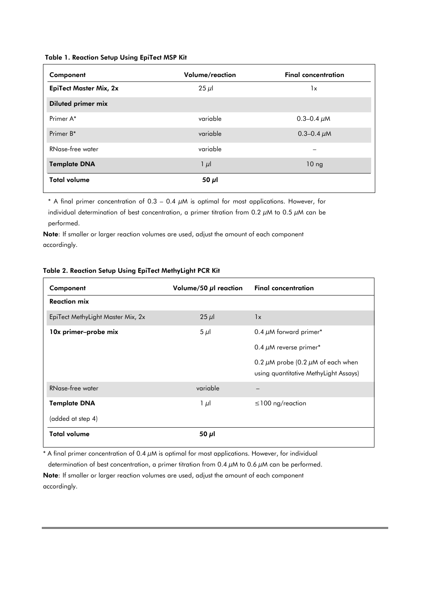#### Table 1. Reaction Setup Using EpiTect MSP Kit

| Component                     | Volume/reaction | <b>Final concentration</b> |
|-------------------------------|-----------------|----------------------------|
| <b>EpiTect Master Mix, 2x</b> | $25 \mu$        | 1x                         |
| <b>Diluted primer mix</b>     |                 |                            |
| Primer A*                     | variable        | 0.3–0.4 $\mu$ M            |
| Primer B*                     | variable        | 0.3–0.4 $\mu$ M            |
| RNase-free water              | variable        |                            |
| <b>Template DNA</b>           | $1 \mu l$       | 10 <sub>ng</sub>           |
| <b>Total volume</b>           | 50 $\mu$ l      |                            |

\* A final primer concentration of 0.3 – 0.4  $\mu$ M is optimal for most applications. However, for individual determination of best concentration, a primer titration from 0.2  $\mu$ M to 0.5  $\mu$ M can be performed.

Note: If smaller or larger reaction volumes are used, adjust the amount of each component accordingly.

| Component                         | Volume/50 $\mu$ l reaction | <b>Final concentration</b>                                                           |
|-----------------------------------|----------------------------|--------------------------------------------------------------------------------------|
| <b>Reaction mix</b>               |                            |                                                                                      |
| EpiTect MethyLight Master Mix, 2x | $25 \mu$                   | 1x                                                                                   |
| 10x primer-probe mix              | $5 \mu$                    | 0.4 $\mu$ M forward primer*                                                          |
|                                   |                            | 0.4 $\mu$ M reverse primer*                                                          |
|                                   |                            | 0.2 $\mu$ M probe (0.2 $\mu$ M of each when<br>using quantitative MethyLight Assays) |
| RNase-free water                  | variable                   |                                                                                      |
| <b>Template DNA</b>               | $1 \mu$                    | $\leq$ 100 ng/reaction                                                               |
| (added at step 4)                 |                            |                                                                                      |
| <b>Total volume</b>               | 50 $\mu$ l                 |                                                                                      |

#### Table 2. Reaction Setup Using EpiTect MethyLight PCR Kit

\* A final primer concentration of 0.4  $\mu$ M is optimal for most applications. However, for individual

determination of best concentration, a primer titration from 0.4  $\mu$ M to 0.6  $\mu$ M can be performed.

Note: If smaller or larger reaction volumes are used, adjust the amount of each component accordingly.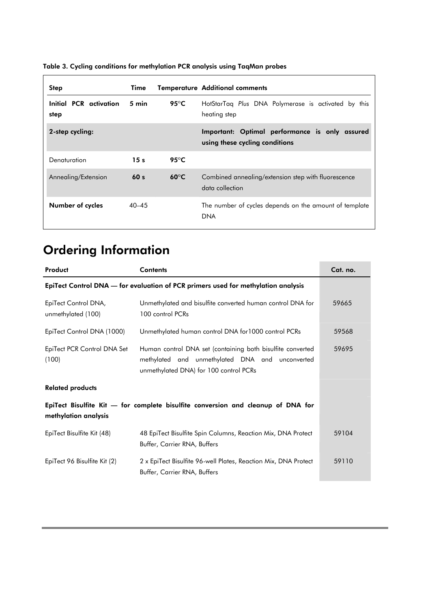| <b>Step</b>                    | Time            |                         | <b>Temperature Additional comments</b>                                           |
|--------------------------------|-----------------|-------------------------|----------------------------------------------------------------------------------|
| Initial PCR activation<br>step | 5 min           | 95 $\mathrm{^{\circ}C}$ | HotStarTaq Plus DNA Polymerase is activated by this<br>heating step              |
| 2-step cycling:                |                 |                         | Important: Optimal performance is only assured<br>using these cycling conditions |
| Denaturation                   | 15s             | 95 $\mathrm{^{\circ}C}$ |                                                                                  |
| Annealing/Extension            | 60 <sub>s</sub> | $60^{\circ}$ C          | Combined annealing/extension step with fluorescence<br>data collection           |
| Number of cycles               | $40 - 45$       |                         | The number of cycles depends on the amount of template<br><b>DNA</b>             |

### Table 3. Cycling conditions for methylation PCR analysis using TaqMan probes

# Ordering Information

| Product                                                                           | <b>Contents</b>                                                                                                                                         | Cat. no. |
|-----------------------------------------------------------------------------------|---------------------------------------------------------------------------------------------------------------------------------------------------------|----------|
| EpiTect Control DNA — for evaluation of PCR primers used for methylation analysis |                                                                                                                                                         |          |
| EpiTect Control DNA,<br>unmethylated (100)                                        | Unmethylated and bisulfite converted human control DNA for<br>100 control PCRs                                                                          | 59665    |
| EpiTect Control DNA (1000)                                                        | Unmethylated human control DNA for 1000 control PCRs                                                                                                    | 59568    |
| EpiTect PCR Control DNA Set<br>(100)                                              | Human control DNA set (containing both bisulfite converted<br>methylated and unmethylated DNA and unconverted<br>unmethylated DNA) for 100 control PCRs | 59695    |
| <b>Related products</b>                                                           |                                                                                                                                                         |          |
| methylation analysis                                                              | EpiTect Bisulfite Kit - for complete bisulfite conversion and cleanup of DNA for                                                                        |          |
| EpiTect Bisulfite Kit (48)                                                        | 48 EpiTect Bisulfite Spin Columns, Reaction Mix, DNA Protect<br>Buffer, Carrier RNA, Buffers                                                            | 59104    |
| EpiTect 96 Bisulfite Kit (2)                                                      | 2 x EpiTect Bisulfite 96-well Plates, Reaction Mix, DNA Protect<br>Buffer, Carrier RNA, Buffers                                                         | 59110    |